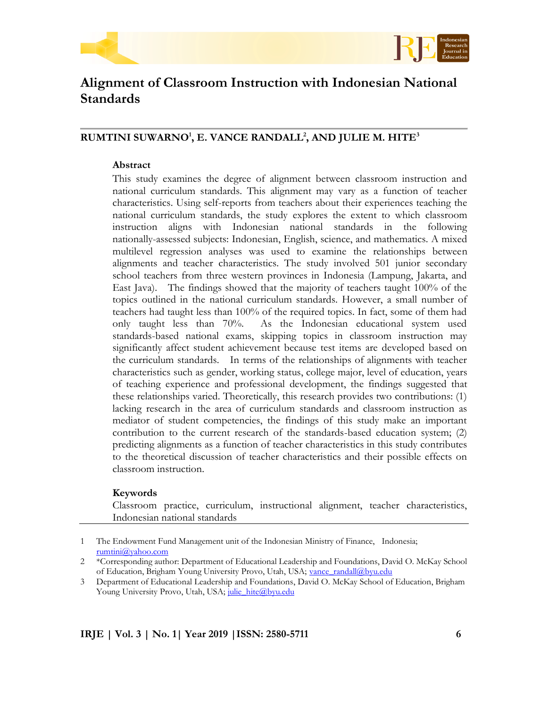



# **Alignment of Classroom Instruction with Indonesian National Standards**

# **RUMTINI SUWARNO<sup>1</sup> , E. VANCE RANDALL<sup>2</sup> , AND JULIE M. HITE<sup>3</sup>**

# **Abstract**

This study examines the degree of alignment between classroom instruction and national curriculum standards. This alignment may vary as a function of teacher characteristics. Using self-reports from teachers about their experiences teaching the national curriculum standards, the study explores the extent to which classroom instruction aligns with Indonesian national standards in the following nationally-assessed subjects: Indonesian, English, science, and mathematics. A mixed multilevel regression analyses was used to examine the relationships between alignments and teacher characteristics. The study involved 501 junior secondary school teachers from three western provinces in Indonesia (Lampung, Jakarta, and East Java). The findings showed that the majority of teachers taught 100% of the topics outlined in the national curriculum standards. However, a small number of teachers had taught less than 100% of the required topics. In fact, some of them had only taught less than 70%. As the Indonesian educational system used standards-based national exams, skipping topics in classroom instruction may significantly affect student achievement because test items are developed based on the curriculum standards. In terms of the relationships of alignments with teacher characteristics such as gender, working status, college major, level of education, years of teaching experience and professional development, the findings suggested that these relationships varied. Theoretically, this research provides two contributions: (1) lacking research in the area of curriculum standards and classroom instruction as mediator of student competencies, the findings of this study make an important contribution to the current research of the standards-based education system; (2) predicting alignments as a function of teacher characteristics in this study contributes to the theoretical discussion of teacher characteristics and their possible effects on classroom instruction.

# **Keywords**

Classroom practice, curriculum, instructional alignment, teacher characteristics, Indonesian national standards

3 Department of Educational Leadership and Foundations, David O. McKay School of Education, Brigham Young University Provo, Utah, USA; [julie\\_hite@byu.edu](mailto:julie_hite@byu.edu)

<sup>1</sup> The Endowment Fund Management unit of the Indonesian Ministry of Finance, Indonesia; [rumtini@yahoo.com](mailto:rumtini@yahoo.com)

<sup>2</sup> \*Corresponding author: Department of Educational Leadership and Foundations, David O. McKay School of Education, Brigham Young University Provo, Utah, USA; [vance\\_randall@byu.edu](mailto:vance_randall@byu.edu)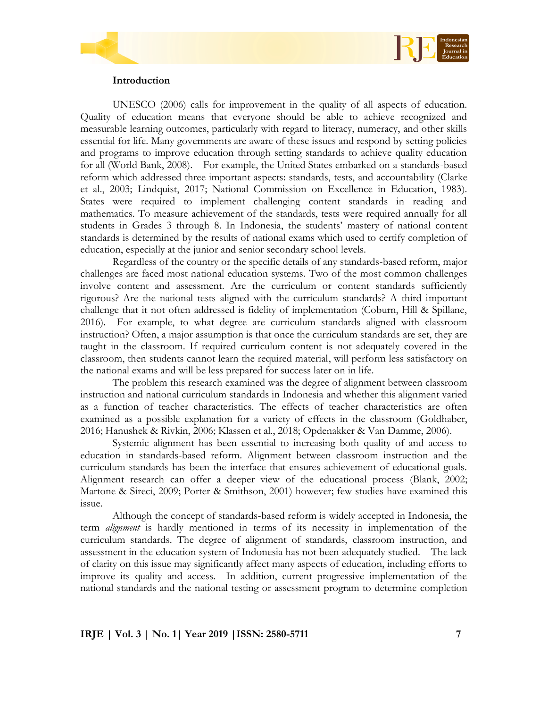

#### **Introduction**

UNESCO (2006) calls for improvement in the quality of all aspects of education. Quality of education means that everyone should be able to achieve recognized and measurable learning outcomes, particularly with regard to literacy, numeracy, and other skills essential for life. Many governments are aware of these issues and respond by setting policies and programs to improve education through setting standards to achieve quality education for all (World Bank, 2008). For example, the United States embarked on a standards-based reform which addressed three important aspects: standards, tests, and accountability (Clarke et al., 2003; Lindquist, 2017; National Commission on Excellence in Education, 1983). States were required to implement challenging content standards in reading and mathematics. To measure achievement of the standards, tests were required annually for all students in Grades 3 through 8. In Indonesia, the students' mastery of national content standards is determined by the results of national exams which used to certify completion of education, especially at the junior and senior secondary school levels.

Regardless of the country or the specific details of any standards-based reform, major challenges are faced most national education systems. Two of the most common challenges involve content and assessment. Are the curriculum or content standards sufficiently rigorous? Are the national tests aligned with the curriculum standards? A third important challenge that it not often addressed is fidelity of implementation (Coburn, Hill & Spillane, 2016). For example, to what degree are curriculum standards aligned with classroom instruction? Often, a major assumption is that once the curriculum standards are set, they are taught in the classroom. If required curriculum content is not adequately covered in the classroom, then students cannot learn the required material, will perform less satisfactory on the national exams and will be less prepared for success later on in life.

The problem this research examined was the degree of alignment between classroom instruction and national curriculum standards in Indonesia and whether this alignment varied as a function of teacher characteristics. The effects of teacher characteristics are often examined as a possible explanation for a variety of effects in the classroom (Goldhaber, 2016; Hanushek & Rivkin, 2006; Klassen et al., 2018; Opdenakker & Van Damme, 2006).

Systemic alignment has been essential to increasing both quality of and access to education in standards-based reform. Alignment between classroom instruction and the curriculum standards has been the interface that ensures achievement of educational goals. Alignment research can offer a deeper view of the educational process (Blank, 2002; Martone & Sireci, 2009; Porter & Smithson, 2001) however; few studies have examined this issue.

Although the concept of standards-based reform is widely accepted in Indonesia, the term *alignment* is hardly mentioned in terms of its necessity in implementation of the curriculum standards. The degree of alignment of standards, classroom instruction, and assessment in the education system of Indonesia has not been adequately studied. The lack of clarity on this issue may significantly affect many aspects of education, including efforts to improve its quality and access. In addition, current progressive implementation of the national standards and the national testing or assessment program to determine completion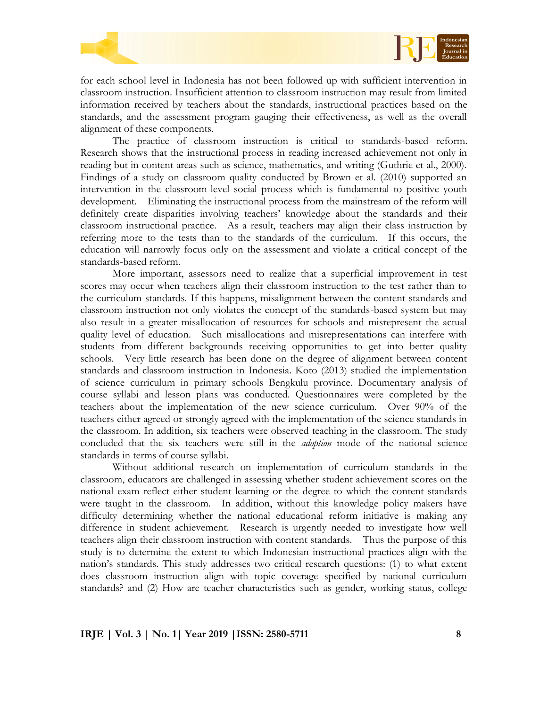

for each school level in Indonesia has not been followed up with sufficient intervention in classroom instruction. Insufficient attention to classroom instruction may result from limited information received by teachers about the standards, instructional practices based on the standards, and the assessment program gauging their effectiveness, as well as the overall alignment of these components.

The practice of classroom instruction is critical to standards-based reform. Research shows that the instructional process in reading increased achievement not only in reading but in content areas such as science, mathematics, and writing (Guthrie et al., 2000). Findings of a study on classroom quality conducted by Brown et al. (2010) supported an intervention in the classroom-level social process which is fundamental to positive youth development. Eliminating the instructional process from the mainstream of the reform will definitely create disparities involving teachers' knowledge about the standards and their classroom instructional practice. As a result, teachers may align their class instruction by referring more to the tests than to the standards of the curriculum. If this occurs, the education will narrowly focus only on the assessment and violate a critical concept of the standards-based reform.

More important, assessors need to realize that a superficial improvement in test scores may occur when teachers align their classroom instruction to the test rather than to the curriculum standards. If this happens, misalignment between the content standards and classroom instruction not only violates the concept of the standards-based system but may also result in a greater misallocation of resources for schools and misrepresent the actual quality level of education. Such misallocations and misrepresentations can interfere with students from different backgrounds receiving opportunities to get into better quality schools. Very little research has been done on the degree of alignment between content standards and classroom instruction in Indonesia. Koto (2013) studied the implementation of science curriculum in primary schools Bengkulu province. Documentary analysis of course syllabi and lesson plans was conducted. Questionnaires were completed by the teachers about the implementation of the new science curriculum. Over 90% of the teachers either agreed or strongly agreed with the implementation of the science standards in the classroom. In addition, six teachers were observed teaching in the classroom. The study concluded that the six teachers were still in the *adoption* mode of the national science standards in terms of course syllabi.

Without additional research on implementation of curriculum standards in the classroom, educators are challenged in assessing whether student achievement scores on the national exam reflect either student learning or the degree to which the content standards were taught in the classroom. In addition, without this knowledge policy makers have difficulty determining whether the national educational reform initiative is making any difference in student achievement. Research is urgently needed to investigate how well teachers align their classroom instruction with content standards. Thus the purpose of this study is to determine the extent to which Indonesian instructional practices align with the nation's standards. This study addresses two critical research questions: (1) to what extent does classroom instruction align with topic coverage specified by national curriculum standards? and (2) How are teacher characteristics such as gender, working status, college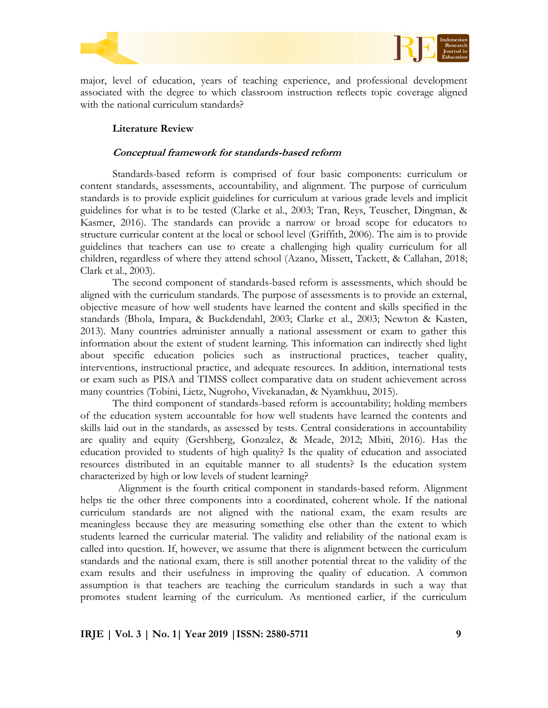



major, level of education, years of teaching experience, and professional development associated with the degree to which classroom instruction reflects topic coverage aligned with the national curriculum standards?

# **Literature Review**

# **Conceptual framework for standards-based reform**

Standards-based reform is comprised of four basic components: curriculum or content standards, assessments, accountability, and alignment. The purpose of curriculum standards is to provide explicit guidelines for curriculum at various grade levels and implicit guidelines for what is to be tested (Clarke et al., 2003; Tran, Reys, Teuscher, Dingman, & Kasmer, 2016). The standards can provide a narrow or broad scope for educators to structure curricular content at the local or school level (Griffith, 2006). The aim is to provide guidelines that teachers can use to create a challenging high quality curriculum for all children, regardless of where they attend school (Azano, Missett, Tackett, & Callahan, 2018; Clark et al., 2003).

The second component of standards-based reform is assessments, which should be aligned with the curriculum standards. The purpose of assessments is to provide an external, objective measure of how well students have learned the content and skills specified in the standards (Bhola, Impara, & Buckdendahl, 2003; Clarke et al., 2003; Newton & Kasten, 2013). Many countries administer annually a national assessment or exam to gather this information about the extent of student learning. This information can indirectly shed light about specific education policies such as instructional practices, teacher quality, interventions, instructional practice, and adequate resources. In addition, international tests or exam such as PISA and TIMSS collect comparative data on student achievement across many countries (Tobini, Lietz, Nugroho, Vivekanadan, & Nyamkhuu, 2015).

The third component of standards-based reform is accountability; holding members of the education system accountable for how well students have learned the contents and skills laid out in the standards, as assessed by tests. Central considerations in accountability are quality and equity (Gershberg, Gonzalez, & Meade, 2012; Mbiti, 2016). Has the education provided to students of high quality? Is the quality of education and associated resources distributed in an equitable manner to all students? Is the education system characterized by high or low levels of student learning?

Alignment is the fourth critical component in standards-based reform. Alignment helps tie the other three components into a coordinated, coherent whole. If the national curriculum standards are not aligned with the national exam, the exam results are meaningless because they are measuring something else other than the extent to which students learned the curricular material. The validity and reliability of the national exam is called into question. If, however, we assume that there is alignment between the curriculum standards and the national exam, there is still another potential threat to the validity of the exam results and their usefulness in improving the quality of education. A common assumption is that teachers are teaching the curriculum standards in such a way that promotes student learning of the curriculum. As mentioned earlier, if the curriculum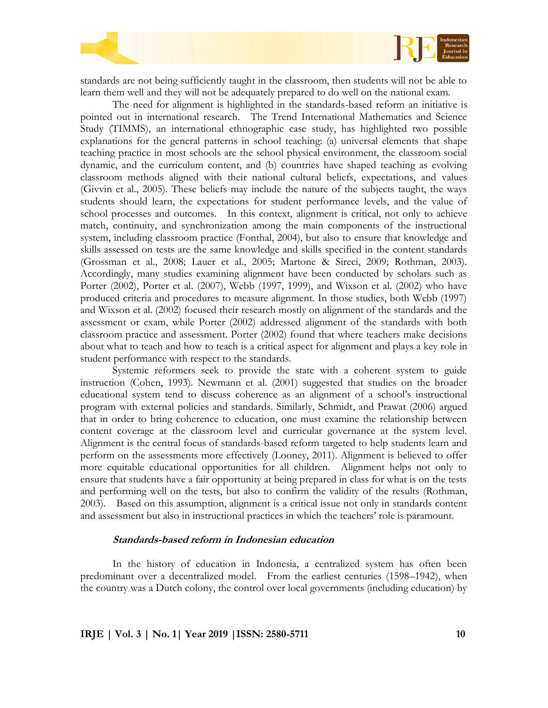

standards are not being sufficiently taught in the classroom, then students will not be able to learn them well and they will not be adequately prepared to do well on the national exam.

The need for alignment is highlighted in the standards-based reform an initiative is pointed out in international research. The Trend International Mathematics and Science Study (TIMMS), an international ethnographic case study, has highlighted two possible explanations for the general patterns in school teaching: (a) universal elements that shape teaching practice in most schools are the school physical environment, the classroom social dynamic, and the curriculum content, and (b) countries have shaped teaching as evolving classroom methods aligned with their national cultural beliefs, expectations, and values (Givvin et al., 2005). These beliefs may include the nature of the subjects taught, the ways students should learn, the expectations for student performance levels, and the value of school processes and outcomes. In this context, alignment is critical, not only to achieve match, continuity, and synchronization among the main components of the instructional system, including classroom practice (Fonthal, 2004), but also to ensure that knowledge and skills assessed on tests are the same knowledge and skills specified in the content standards (Grossman et al., 2008; Lauer et al., 2005; Martone & Sireci, 2009; Rothman, 2003). Accordingly, many studies examining alignment have been conducted by scholars such as Porter (2002), Porter et al. (2007), Webb (1997, 1999), and Wixson et al. (2002) who have produced criteria and procedures to measure alignment. In those studies, both Webb (1997) and Wixson et al. (2002) focused their research mostly on alignment of the standards and the assessment or exam, while Porter (2002) addressed alignment of the standards with both classroom practice and assessment. Porter (2002) found that where teachers make decisions about what to teach and how to teach is a critical aspect for alignment and plays a key role in student performance with respect to the standards.

Systemic reformers seek to provide the state with a coherent system to guide instruction (Cohen, 1993). Newmann et al. (2001) suggested that studies on the broader educational system tend to discuss coherence as an alignment of a school's instructional program with external policies and standards. Similarly, Schmidt, and Prawat (2006) argued that in order to bring coherence to education, one must examine the relationship between content coverage at the classroom level and curricular governance at the system level. Alignment is the central focus of standards-based reform targeted to help students learn and perform on the assessments more effectively (Looney, 2011). Alignment is believed to offer more equitable educational opportunities for all children. Alignment helps not only to ensure that students have a fair opportunity at being prepared in class for what is on the tests and performing well on the tests, but also to confirm the validity of the results (Rothman, 2003). Based on this assumption, alignment is a critical issue not only in standards content and assessment but also in instructional practices in which the teachers' role is paramount.

#### **Standards-based reform in Indonesian education**

In the history of education in Indonesia, a centralized system has often been predominant over a decentralized model. From the earliest centuries (1598–1942), when the country was a Dutch colony, the control over local governments (including education) by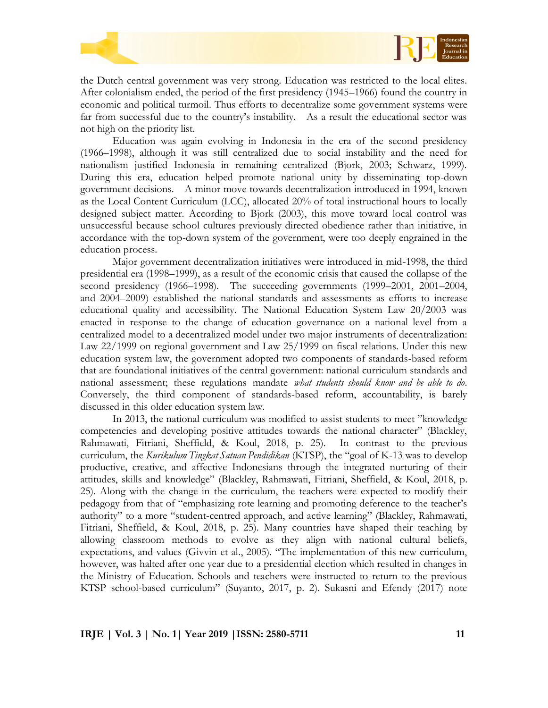



the Dutch central government was very strong. Education was restricted to the local elites. After colonialism ended, the period of the first presidency (1945–1966) found the country in economic and political turmoil. Thus efforts to decentralize some government systems were far from successful due to the country's instability. As a result the educational sector was not high on the priority list.

Education was again evolving in Indonesia in the era of the second presidency (1966–1998), although it was still centralized due to social instability and the need for nationalism justified Indonesia in remaining centralized (Bjork, 2003; Schwarz, 1999). During this era, education helped promote national unity by disseminating top-down government decisions. A minor move towards decentralization introduced in 1994, known as the Local Content Curriculum (LCC), allocated 20% of total instructional hours to locally designed subject matter. According to Bjork (2003), this move toward local control was unsuccessful because school cultures previously directed obedience rather than initiative, in accordance with the top-down system of the government, were too deeply engrained in the education process.

Major government decentralization initiatives were introduced in mid-1998, the third presidential era (1998–1999), as a result of the economic crisis that caused the collapse of the second presidency (1966–1998). The succeeding governments (1999–2001, 2001–2004, and 2004–2009) established the national standards and assessments as efforts to increase educational quality and accessibility. The National Education System Law 20/2003 was enacted in response to the change of education governance on a national level from a centralized model to a decentralized model under two major instruments of decentralization: Law 22/1999 on regional government and Law 25/1999 on fiscal relations. Under this new education system law, the government adopted two components of standards-based reform that are foundational initiatives of the central government: national curriculum standards and national assessment; these regulations mandate *what students should know and be able to do*. Conversely, the third component of standards-based reform, accountability, is barely discussed in this older education system law.

In 2013, the national curriculum was modified to assist students to meet "knowledge" competencies and developing positive attitudes towards the national character" (Blackley, Rahmawati, Fitriani, Sheffield, & Koul, 2018, p. 25). In contrast to the previous curriculum, the *Kurikulum Tingkat Satuan Pendidikan* (KTSP), the "goal of K-13 was to develop productive, creative, and affective Indonesians through the integrated nurturing of their attitudes, skills and knowledge" (Blackley, Rahmawati, Fitriani, Sheffield, & Koul, 2018, p. 25). Along with the change in the curriculum, the teachers were expected to modify their pedagogy from that of "emphasizing rote learning and promoting deference to the teacher's authority" to a more "student-centred approach, and active learning" (Blackley, Rahmawati, Fitriani, Sheffield, & Koul, 2018, p. 25). Many countries have shaped their teaching by allowing classroom methods to evolve as they align with national cultural beliefs, expectations, and values (Givvin et al., 2005). "The implementation of this new curriculum, however, was halted after one year due to a presidential election which resulted in changes in the Ministry of Education. Schools and teachers were instructed to return to the previous KTSP school-based curriculum" (Suyanto, 2017, p. 2). Sukasni and Efendy (2017) note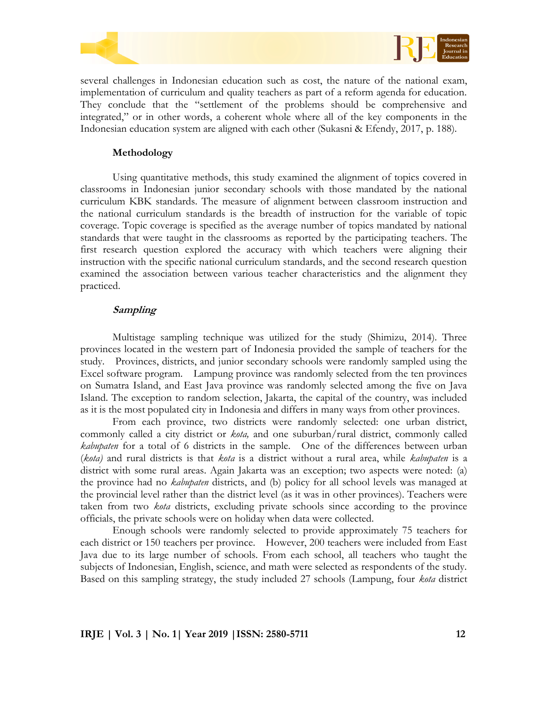



several challenges in Indonesian education such as cost, the nature of the national exam, implementation of curriculum and quality teachers as part of a reform agenda for education. They conclude that the "settlement of the problems should be comprehensive and integrated," or in other words, a coherent whole where all of the key components in the Indonesian education system are aligned with each other (Sukasni & Efendy, 2017, p. 188).

#### **Methodology**

Using quantitative methods, this study examined the alignment of topics covered in classrooms in Indonesian junior secondary schools with those mandated by the national curriculum KBK standards. The measure of alignment between classroom instruction and the national curriculum standards is the breadth of instruction for the variable of topic coverage. Topic coverage is specified as the average number of topics mandated by national standards that were taught in the classrooms as reported by the participating teachers. The first research question explored the accuracy with which teachers were aligning their instruction with the specific national curriculum standards, and the second research question examined the association between various teacher characteristics and the alignment they practiced.

# **Sampling**

Multistage sampling technique was utilized for the study (Shimizu, 2014). Three provinces located in the western part of Indonesia provided the sample of teachers for the study. Provinces, districts, and junior secondary schools were randomly sampled using the Excel software program. Lampung province was randomly selected from the ten provinces on Sumatra Island, and East Java province was randomly selected among the five on Java Island. The exception to random selection, Jakarta, the capital of the country, was included as it is the most populated city in Indonesia and differs in many ways from other provinces.

From each province, two districts were randomly selected: one urban district, commonly called a city district or *kota,* and one suburban/rural district, commonly called *kabupaten* for a total of 6 districts in the sample. One of the differences between urban (*kota)* and rural districts is that *kota* is a district without a rural area, while *kabupaten* is a district with some rural areas. Again Jakarta was an exception; two aspects were noted: (a) the province had no *kabupaten* districts, and (b) policy for all school levels was managed at the provincial level rather than the district level (as it was in other provinces). Teachers were taken from two *kota* districts, excluding private schools since according to the province officials, the private schools were on holiday when data were collected.

Enough schools were randomly selected to provide approximately 75 teachers for each district or 150 teachers per province. However, 200 teachers were included from East Java due to its large number of schools. From each school, all teachers who taught the subjects of Indonesian, English, science, and math were selected as respondents of the study. Based on this sampling strategy, the study included 27 schools (Lampung, four *kota* district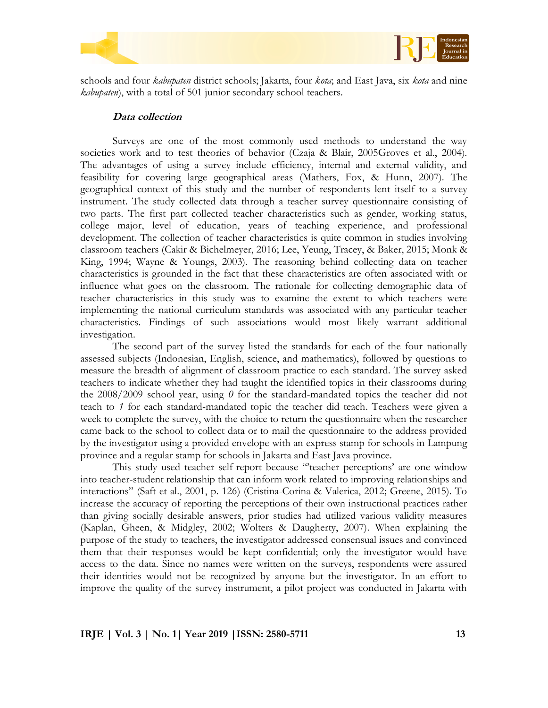



schools and four *kabupaten* district schools; Jakarta, four *kota*; and East Java, six *kota* and nine *kabupaten*), with a total of 501 junior secondary school teachers.

#### **Data collection**

Surveys are one of the most commonly used methods to understand the way societies work and to test theories of behavior (Czaja & Blair, 2005Groves et al., 2004). The advantages of using a survey include efficiency, internal and external validity, and feasibility for covering large geographical areas (Mathers, Fox, & Hunn, 2007). The geographical context of this study and the number of respondents lent itself to a survey instrument. The study collected data through a teacher survey questionnaire consisting of two parts. The first part collected teacher characteristics such as gender, working status, college major, level of education, years of teaching experience, and professional development. The collection of teacher characteristics is quite common in studies involving classroom teachers (Cakir & Bichelmeyer, 2016; Lee, Yeung, Tracey, & Baker, 2015; Monk & King, 1994; Wayne & Youngs, 2003). The reasoning behind collecting data on teacher characteristics is grounded in the fact that these characteristics are often associated with or influence what goes on the classroom. The rationale for collecting demographic data of teacher characteristics in this study was to examine the extent to which teachers were implementing the national curriculum standards was associated with any particular teacher characteristics. Findings of such associations would most likely warrant additional investigation.

The second part of the survey listed the standards for each of the four nationally assessed subjects (Indonesian, English, science, and mathematics), followed by questions to measure the breadth of alignment of classroom practice to each standard. The survey asked teachers to indicate whether they had taught the identified topics in their classrooms during the 2008/2009 school year, using *0* for the standard-mandated topics the teacher did not teach to *1* for each standard-mandated topic the teacher did teach. Teachers were given a week to complete the survey, with the choice to return the questionnaire when the researcher came back to the school to collect data or to mail the questionnaire to the address provided by the investigator using a provided envelope with an express stamp for schools in Lampung province and a regular stamp for schools in Jakarta and East Java province.

This study used teacher self-report because "teacher perceptions' are one window into teacher-student relationship that can inform work related to improving relationships and interactions‖ (Saft et al., 2001, p. 126) (Cristina-Corina & Valerica, 2012; Greene, 2015). To increase the accuracy of reporting the perceptions of their own instructional practices rather than giving socially desirable answers, prior studies had utilized various validity measures (Kaplan, Gheen, & Midgley, 2002; Wolters & Daugherty, 2007). When explaining the purpose of the study to teachers, the investigator addressed consensual issues and convinced them that their responses would be kept confidential; only the investigator would have access to the data. Since no names were written on the surveys, respondents were assured their identities would not be recognized by anyone but the investigator. In an effort to improve the quality of the survey instrument, a pilot project was conducted in Jakarta with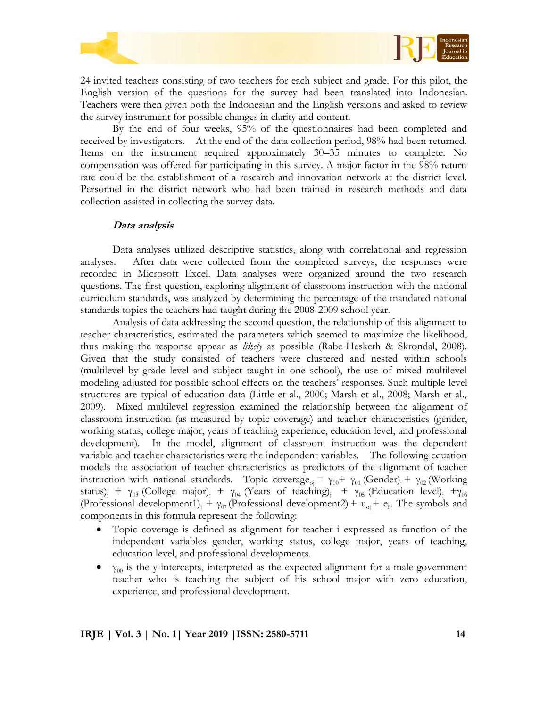

24 invited teachers consisting of two teachers for each subject and grade. For this pilot, the English version of the questions for the survey had been translated into Indonesian. Teachers were then given both the Indonesian and the English versions and asked to review the survey instrument for possible changes in clarity and content.

By the end of four weeks, 95% of the questionnaires had been completed and received by investigators. At the end of the data collection period, 98% had been returned. Items on the instrument required approximately 30–35 minutes to complete. No compensation was offered for participating in this survey. A major factor in the 98% return rate could be the establishment of a research and innovation network at the district level. Personnel in the district network who had been trained in research methods and data collection assisted in collecting the survey data.

#### **Data analysis**

Data analyses utilized descriptive statistics, along with correlational and regression analyses. After data were collected from the completed surveys, the responses were recorded in Microsoft Excel. Data analyses were organized around the two research questions. The first question, exploring alignment of classroom instruction with the national curriculum standards, was analyzed by determining the percentage of the mandated national standards topics the teachers had taught during the 2008-2009 school year.

Analysis of data addressing the second question, the relationship of this alignment to teacher characteristics, estimated the parameters which seemed to maximize the likelihood, thus making the response appear as *likely* as possible (Rabe-Hesketh & Skrondal, 2008). Given that the study consisted of teachers were clustered and nested within schools (multilevel by grade level and subject taught in one school), the use of mixed multilevel modeling adjusted for possible school effects on the teachers' responses. Such multiple level structures are typical of education data (Little et al., 2000; Marsh et al., 2008; Marsh et al., 2009). Mixed multilevel regression examined the relationship between the alignment of classroom instruction (as measured by topic coverage) and teacher characteristics (gender, working status, college major, years of teaching experience, education level, and professional development). In the model, alignment of classroom instruction was the dependent variable and teacher characteristics were the independent variables. The following equation models the association of teacher characteristics as predictors of the alignment of teacher instruction with national standards. Topic coverage<sub>oj</sub> =  $\gamma_{00}$  +  $\gamma_{01}$  (Gender)<sub>j</sub> +  $\gamma_{02}$  (Working status)<sub>j</sub> +  $\gamma_{03}$  (College major)<sub>j</sub> +  $\gamma_{04}$  (Years of teaching)<sub>j</sub> +  $\gamma_{05}$  (Education level)<sub>j</sub> +  $\gamma_{06}$ (Professional development1)<sub>i</sub> +  $\gamma_{07}$  (Professional development2) + u<sub>oj</sub> + e<sub>ij</sub>. The symbols and components in this formula represent the following:

- Topic coverage is defined as alignment for teacher i expressed as function of the independent variables gender, working status, college major, years of teaching, education level, and professional developments.
- $\gamma_{00}$  is the y-intercepts, interpreted as the expected alignment for a male government teacher who is teaching the subject of his school major with zero education, experience, and professional development.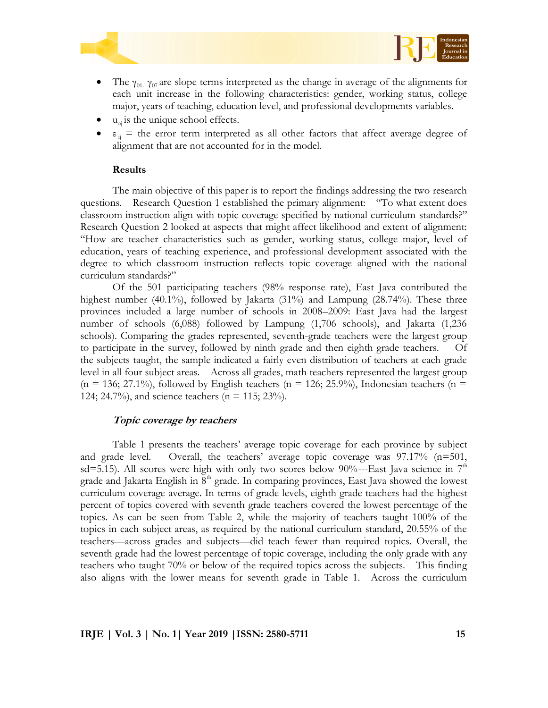



- The  $\gamma_{01}$   $\gamma_{07}$  are slope terms interpreted as the change in average of the alignments for each unit increase in the following characteristics: gender, working status, college major, years of teaching, education level, and professional developments variables.
- $\bullet$  u<sub>oj</sub> is the unique school effects.
- $\varepsilon_{ii}$  = the error term interpreted as all other factors that affect average degree of alignment that are not accounted for in the model.

#### **Results**

The main objective of this paper is to report the findings addressing the two research questions. Research Question 1 established the primary alignment: "To what extent does classroom instruction align with topic coverage specified by national curriculum standards?" Research Question 2 looked at aspects that might affect likelihood and extent of alignment: ―How are teacher characteristics such as gender, working status, college major, level of education, years of teaching experience, and professional development associated with the degree to which classroom instruction reflects topic coverage aligned with the national curriculum standards?"

Of the 501 participating teachers (98% response rate), East Java contributed the highest number (40.1%), followed by Jakarta (31%) and Lampung (28.74%). These three provinces included a large number of schools in 2008–2009: East Java had the largest number of schools (6,088) followed by Lampung (1,706 schools), and Jakarta (1,236 schools). Comparing the grades represented, seventh-grade teachers were the largest group to participate in the survey, followed by ninth grade and then eighth grade teachers. Of the subjects taught, the sample indicated a fairly even distribution of teachers at each grade level in all four subject areas. Across all grades, math teachers represented the largest group  $(n = 136; 27.1\%)$ , followed by English teachers  $(n = 126; 25.9\%)$ , Indonesian teachers  $(n = 126; 126)$ 124; 24.7%), and science teachers ( $n = 115$ ; 23%).

# **Topic coverage by teachers**

Table 1 presents the teachers' average topic coverage for each province by subject and grade level. Overall, the teachers' average topic coverage was 97.17% (n=501, sd=5.15). All scores were high with only two scores below 90%---East Java science in  $7<sup>th</sup>$ grade and Jakarta English in  $8<sup>th</sup>$  grade. In comparing provinces, East Java showed the lowest curriculum coverage average. In terms of grade levels, eighth grade teachers had the highest percent of topics covered with seventh grade teachers covered the lowest percentage of the topics. As can be seen from Table 2, while the majority of teachers taught 100% of the topics in each subject areas, as required by the national curriculum standard, 20.55% of the teachers—across grades and subjects—did teach fewer than required topics. Overall, the seventh grade had the lowest percentage of topic coverage, including the only grade with any teachers who taught 70% or below of the required topics across the subjects. This finding also aligns with the lower means for seventh grade in Table 1. Across the curriculum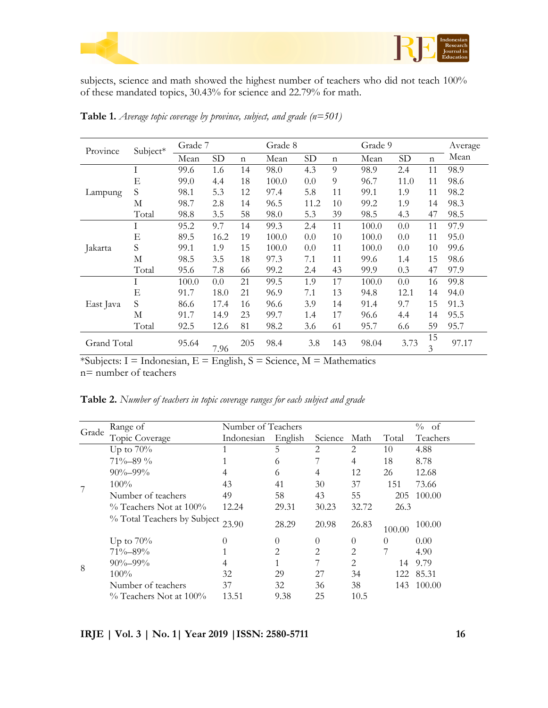



subjects, science and math showed the highest number of teachers who did not teach 100% of these mandated topics, 30.43% for science and 22.79% for math.

| Province    | Subject* | Grade 7 |           |             | Grade 8 |           |     | Grade 9 |      |             | Average |
|-------------|----------|---------|-----------|-------------|---------|-----------|-----|---------|------|-------------|---------|
|             |          | Mean    | <b>SD</b> | $\mathbf n$ | Mean    | <b>SD</b> | n   | Mean    | SD   | $\mathbf n$ | Mean    |
| Lampung     | Ι        | 99.6    | 1.6       | 14          | 98.0    | 4.3       | 9   | 98.9    | 2.4  | 11          | 98.9    |
|             | Ε        | 99.0    | 4.4       | 18          | 100.0   | 0.0       | 9   | 96.7    | 11.0 | 11          | 98.6    |
|             | S        | 98.1    | 5.3       | 12          | 97.4    | 5.8       | 11  | 99.1    | 1.9  | 11          | 98.2    |
|             | М        | 98.7    | 2.8       | 14          | 96.5    | 11.2      | 10  | 99.2    | 1.9  | 14          | 98.3    |
|             | Total    | 98.8    | 3.5       | 58          | 98.0    | 5.3       | 39  | 98.5    | 4.3  | 47          | 98.5    |
| Jakarta     | Ι        | 95.2    | 9.7       | 14          | 99.3    | 2.4       | 11  | 100.0   | 0.0  | 11          | 97.9    |
|             | E        | 89.5    | 16.2      | 19          | 100.0   | 0.0       | 10  | 100.0   | 0.0  | 11          | 95.0    |
|             | S        | 99.1    | 1.9       | 15          | 100.0   | 0.0       | 11  | 100.0   | 0.0  | 10          | 99.6    |
|             | М        | 98.5    | 3.5       | 18          | 97.3    | 7.1       | 11  | 99.6    | 1.4  | 15          | 98.6    |
|             | Total    | 95.6    | 7.8       | 66          | 99.2    | 2.4       | 43  | 99.9    | 0.3  | 47          | 97.9    |
| East Java   | Ι        | 100.0   | 0.0       | 21          | 99.5    | 1.9       | 17  | 100.0   | 0.0  | 16          | 99.8    |
|             | Ε        | 91.7    | 18.0      | 21          | 96.9    | 7.1       | 13  | 94.8    | 12.1 | 14          | 94.0    |
|             | S        | 86.6    | 17.4      | 16          | 96.6    | 3.9       | 14  | 91.4    | 9.7  | 15          | 91.3    |
|             | М        | 91.7    | 14.9      | 23          | 99.7    | 1.4       | 17  | 96.6    | 4.4  | 14          | 95.5    |
|             | Total    | 92.5    | 12.6      | 81          | 98.2    | 3.6       | 61  | 95.7    | 6.6  | 59          | 95.7    |
| Grand Total |          | 95.64   | 7.96      | 205         | 98.4    | 3.8       | 143 | 98.04   | 3.73 | 15<br>3     | 97.17   |

**Table 1.** *Average topic coverage by province, subject, and grade (n=501)*

\*Subjects: I = Indonesian, E = English, S = Science, M = Mathematics n= number of teachers

**Table 2.** *Number of teachers in topic coverage ranges for each subject and grade*

|       | Range of                    | Number of Teachers | % of     |                |          |        |           |
|-------|-----------------------------|--------------------|----------|----------------|----------|--------|-----------|
| Grade | Topic Coverage              | Indonesian         | English  | Science        | Math     | Total  | Teachers  |
|       | Up to $70\%$                |                    | 5        | 2              | 2        | 10     | 4.88      |
|       | $71\% - 89\%$               |                    | 6        |                | 4        | 18     | 8.78      |
|       | $90\% - 99\%$               | 4                  | 6        | 4              | 12       | 26     | 12.68     |
|       | 100%                        | 43                 | 41       | 30             | 37       | 151    | 73.66     |
|       | Number of teachers          | 49                 | 58       | 43             | 55       | 205    | 100.00    |
|       | $\%$ Teachers Not at 100%   | 12.24              | 29.31    | 30.23          | 32.72    | 26.3   |           |
|       | % Total Teachers by Subject | 23.90              | 28.29    | 20.98          | 26.83    | 100.00 | 100.00    |
| 8     | Up to $70\%$                | $\Omega$           | $\theta$ | $\theta$       | $\theta$ | 0      | 0.00      |
|       | 71%-89%                     |                    | 2.       | $\mathfrak{D}$ | 2        | 7      | 4.90      |
|       | $90\% - 99\%$               |                    |          |                | 2        | 14     | 9.79      |
|       | $100\%$                     | 32                 | 29       | 27             | 34       |        | 122 85.31 |
|       | Number of teachers          | 37                 | 32       | 36             | 38       | 143    | 100.00    |
|       | $\%$ Teachers Not at 100%   | 13.51              | 9.38     | 25             | 10.5     |        |           |

**IRJE | Vol. 3 | No. 1| Year 2019 |ISSN: 2580-5711 16**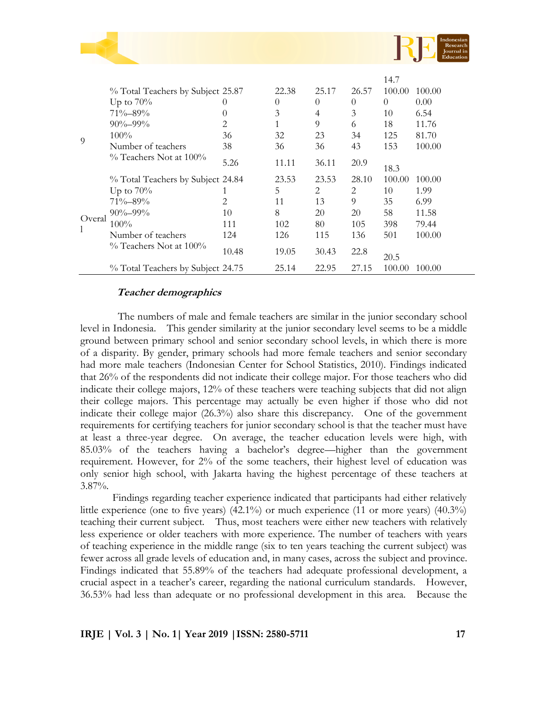

|              | % Total Teachers by Subject 25.87<br>Up to $70\%$<br>71%-89%<br>$90\% - 99\%$<br>$100\%$ | O<br>$\left( \right)$<br>2<br>36 | 22.38<br>$\Omega$<br>3<br>1<br>32 | 25.17<br>$\Omega$<br>4<br>9<br>23 | 26.57<br>$\theta$<br>3<br>6<br>34 | 14.7<br>100.00<br>$\Omega$<br>10<br>18<br>125 | 100.00<br>0.00<br>6.54<br>11.76<br>81.70 |
|--------------|------------------------------------------------------------------------------------------|----------------------------------|-----------------------------------|-----------------------------------|-----------------------------------|-----------------------------------------------|------------------------------------------|
| 9            | Number of teachers                                                                       | 38                               | 36                                | 36                                | 43                                | 153                                           | 100.00                                   |
|              | $\%$ Teachers Not at 100%                                                                | 5.26                             | 11.11                             | 36.11                             | 20.9                              | 18.3                                          |                                          |
|              | % Total Teachers by Subject 24.84                                                        |                                  | 23.53                             | 23.53                             | 28.10                             | 100.00                                        | 100.00                                   |
| Overal<br>-1 | Up to $70\%$                                                                             |                                  | 5                                 | 2                                 | 2                                 | 10                                            | 1.99                                     |
|              | 71%–89%                                                                                  | $\mathfrak{D}_{\cdot}$           | 11                                | 13                                | 9                                 | 35                                            | 6.99                                     |
|              | $90\% - 99\%$                                                                            | 10                               | 8                                 | 20                                | 20                                | 58                                            | 11.58                                    |
|              | $100\%$                                                                                  | 111                              | 102                               | 80                                | 105                               | 398                                           | 79.44                                    |
|              | Number of teachers                                                                       | 124                              | 126                               | 115                               | 136                               | 501                                           | 100.00                                   |
|              | $\%$ Teachers Not at 100%                                                                | 10.48                            | 19.05                             | 30.43                             | 22.8                              | 20.5                                          |                                          |
|              | % Total Teachers by Subject 24.75                                                        |                                  | 25.14                             | 22.95                             | 27.15                             | 100.00                                        | 100.00                                   |

# **Teacher demographics**

The numbers of male and female teachers are similar in the junior secondary school level in Indonesia. This gender similarity at the junior secondary level seems to be a middle ground between primary school and senior secondary school levels, in which there is more of a disparity. By gender, primary schools had more female teachers and senior secondary had more male teachers (Indonesian Center for School Statistics, 2010). Findings indicated that 26% of the respondents did not indicate their college major. For those teachers who did indicate their college majors, 12% of these teachers were teaching subjects that did not align their college majors. This percentage may actually be even higher if those who did not indicate their college major (26.3%) also share this discrepancy. One of the government requirements for certifying teachers for junior secondary school is that the teacher must have at least a three-year degree. On average, the teacher education levels were high, with 85.03% of the teachers having a bachelor's degree—higher than the government requirement. However, for 2% of the some teachers, their highest level of education was only senior high school, with Jakarta having the highest percentage of these teachers at 3.87%.

Findings regarding teacher experience indicated that participants had either relatively little experience (one to five years)  $(42.1\%)$  or much experience  $(11 \text{ or more years}) (40.3\%)$ teaching their current subject. Thus, most teachers were either new teachers with relatively less experience or older teachers with more experience. The number of teachers with years of teaching experience in the middle range (six to ten years teaching the current subject) was fewer across all grade levels of education and, in many cases, across the subject and province. Findings indicated that 55.89% of the teachers had adequate professional development, a crucial aspect in a teacher's career, regarding the national curriculum standards. However, 36.53% had less than adequate or no professional development in this area. Because the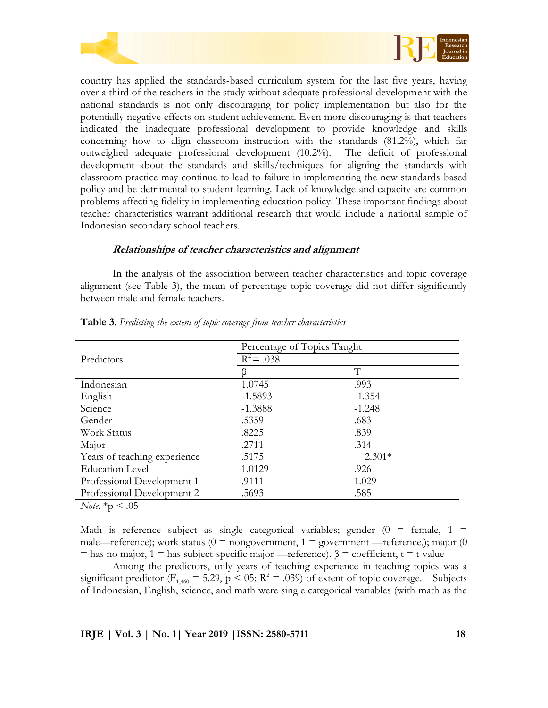

country has applied the standards-based curriculum system for the last five years, having over a third of the teachers in the study without adequate professional development with the national standards is not only discouraging for policy implementation but also for the potentially negative effects on student achievement. Even more discouraging is that teachers indicated the inadequate professional development to provide knowledge and skills concerning how to align classroom instruction with the standards (81.2%), which far outweighed adequate professional development (10.2%). The deficit of professional development about the standards and skills/techniques for aligning the standards with classroom practice may continue to lead to failure in implementing the new standards-based policy and be detrimental to student learning. Lack of knowledge and capacity are common problems affecting fidelity in implementing education policy. These important findings about teacher characteristics warrant additional research that would include a national sample of Indonesian secondary school teachers.

#### **Relationships of teacher characteristics and alignment**

In the analysis of the association between teacher characteristics and topic coverage alignment (see Table 3), the mean of percentage topic coverage did not differ significantly between male and female teachers.

|                              | Percentage of Topics Taught |          |  |  |  |
|------------------------------|-----------------------------|----------|--|--|--|
| Predictors                   | $R^2 = .038$                |          |  |  |  |
|                              |                             | T        |  |  |  |
| Indonesian                   | 1.0745                      | .993     |  |  |  |
| English                      | $-1.5893$                   | $-1.354$ |  |  |  |
| Science                      | $-1.3888$                   | $-1.248$ |  |  |  |
| Gender                       | .5359                       | .683     |  |  |  |
| Work Status                  | .8225                       | .839     |  |  |  |
| Major                        | .2711                       | .314     |  |  |  |
| Years of teaching experience | .5175                       | $2.301*$ |  |  |  |
| Education Level              | 1.0129                      | .926     |  |  |  |
| Professional Development 1   | .9111                       | 1.029    |  |  |  |
| Professional Development 2   | .5693                       | .585     |  |  |  |

**Table 3**. *Predicting the extent of topic coverage from teacher characteristics* 

*Note.*  $*_{p} < .05$ 

Math is reference subject as single categorical variables; gender  $(0 = \text{female}, 1 =$ male—reference); work status ( $0 =$  nongovernment,  $1 =$  government —reference,); major (0  $=$  has no major, 1 = has subject-specific major —reference).  $\beta$  = coefficient, t = t-value

Among the predictors, only years of teaching experience in teaching topics was a significant predictor ( $F_{1,460} = 5.29$ ,  $p < 0.5$ ;  $R^2 = .039$ ) of extent of topic coverage. Subjects of Indonesian, English, science, and math were single categorical variables (with math as the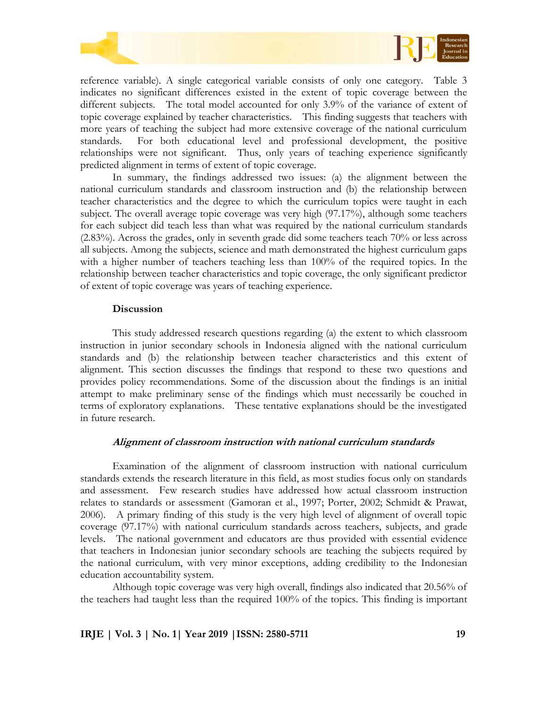



reference variable). A single categorical variable consists of only one category. Table 3 indicates no significant differences existed in the extent of topic coverage between the different subjects. The total model accounted for only 3.9% of the variance of extent of topic coverage explained by teacher characteristics. This finding suggests that teachers with more years of teaching the subject had more extensive coverage of the national curriculum standards. For both educational level and professional development, the positive relationships were not significant. Thus, only years of teaching experience significantly predicted alignment in terms of extent of topic coverage.

In summary, the findings addressed two issues: (a) the alignment between the national curriculum standards and classroom instruction and (b) the relationship between teacher characteristics and the degree to which the curriculum topics were taught in each subject. The overall average topic coverage was very high (97.17%), although some teachers for each subject did teach less than what was required by the national curriculum standards (2.83%). Across the grades, only in seventh grade did some teachers teach 70% or less across all subjects. Among the subjects, science and math demonstrated the highest curriculum gaps with a higher number of teachers teaching less than 100% of the required topics. In the relationship between teacher characteristics and topic coverage, the only significant predictor of extent of topic coverage was years of teaching experience.

#### **Discussion**

This study addressed research questions regarding (a) the extent to which classroom instruction in junior secondary schools in Indonesia aligned with the national curriculum standards and (b) the relationship between teacher characteristics and this extent of alignment. This section discusses the findings that respond to these two questions and provides policy recommendations. Some of the discussion about the findings is an initial attempt to make preliminary sense of the findings which must necessarily be couched in terms of exploratory explanations. These tentative explanations should be the investigated in future research.

# **Alignment of classroom instruction with national curriculum standards**

Examination of the alignment of classroom instruction with national curriculum standards extends the research literature in this field, as most studies focus only on standards and assessment. Few research studies have addressed how actual classroom instruction relates to standards or assessment (Gamoran et al., 1997; Porter, 2002; Schmidt & Prawat, 2006). A primary finding of this study is the very high level of alignment of overall topic coverage (97.17%) with national curriculum standards across teachers, subjects, and grade levels. The national government and educators are thus provided with essential evidence that teachers in Indonesian junior secondary schools are teaching the subjects required by the national curriculum, with very minor exceptions, adding credibility to the Indonesian education accountability system.

Although topic coverage was very high overall, findings also indicated that 20.56% of the teachers had taught less than the required 100% of the topics. This finding is important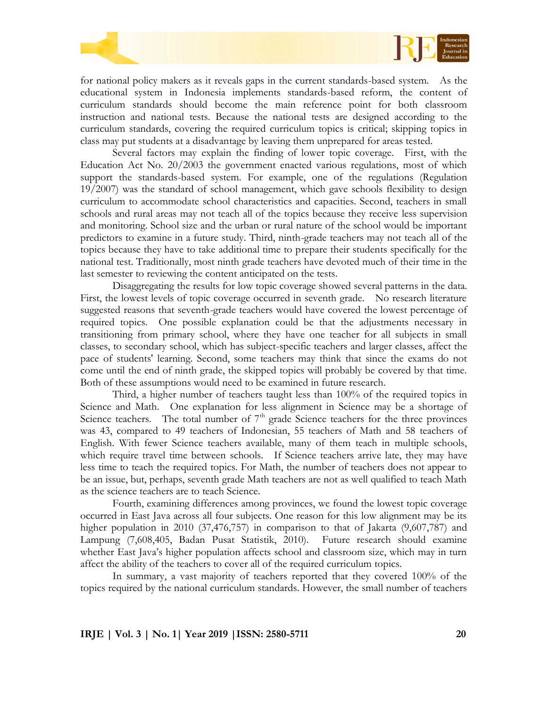

for national policy makers as it reveals gaps in the current standards-based system. As the educational system in Indonesia implements standards-based reform, the content of curriculum standards should become the main reference point for both classroom instruction and national tests. Because the national tests are designed according to the curriculum standards, covering the required curriculum topics is critical; skipping topics in class may put students at a disadvantage by leaving them unprepared for areas tested.

Several factors may explain the finding of lower topic coverage. First, with the Education Act No. 20/2003 the government enacted various regulations, most of which support the standards-based system. For example, one of the regulations (Regulation 19/2007) was the standard of school management, which gave schools flexibility to design curriculum to accommodate school characteristics and capacities. Second, teachers in small schools and rural areas may not teach all of the topics because they receive less supervision and monitoring. School size and the urban or rural nature of the school would be important predictors to examine in a future study. Third, ninth-grade teachers may not teach all of the topics because they have to take additional time to prepare their students specifically for the national test. Traditionally, most ninth grade teachers have devoted much of their time in the last semester to reviewing the content anticipated on the tests.

Disaggregating the results for low topic coverage showed several patterns in the data. First, the lowest levels of topic coverage occurred in seventh grade. No research literature suggested reasons that seventh-grade teachers would have covered the lowest percentage of required topics. One possible explanation could be that the adjustments necessary in transitioning from primary school, where they have one teacher for all subjects in small classes, to secondary school, which has subject-specific teachers and larger classes, affect the pace of students' learning. Second, some teachers may think that since the exams do not come until the end of ninth grade, the skipped topics will probably be covered by that time. Both of these assumptions would need to be examined in future research.

Third, a higher number of teachers taught less than 100% of the required topics in Science and Math. One explanation for less alignment in Science may be a shortage of Science teachers. The total number of  $7<sup>th</sup>$  grade Science teachers for the three provinces was 43, compared to 49 teachers of Indonesian, 55 teachers of Math and 58 teachers of English. With fewer Science teachers available, many of them teach in multiple schools, which require travel time between schools. If Science teachers arrive late, they may have less time to teach the required topics. For Math, the number of teachers does not appear to be an issue, but, perhaps, seventh grade Math teachers are not as well qualified to teach Math as the science teachers are to teach Science.

Fourth, examining differences among provinces, we found the lowest topic coverage occurred in East Java across all four subjects. One reason for this low alignment may be its higher population in 2010 (37,476,757) in comparison to that of Jakarta (9,607,787) and Lampung (7,608,405, Badan Pusat Statistik, 2010). Future research should examine whether East Java's higher population affects school and classroom size, which may in turn affect the ability of the teachers to cover all of the required curriculum topics.

In summary, a vast majority of teachers reported that they covered 100% of the topics required by the national curriculum standards. However, the small number of teachers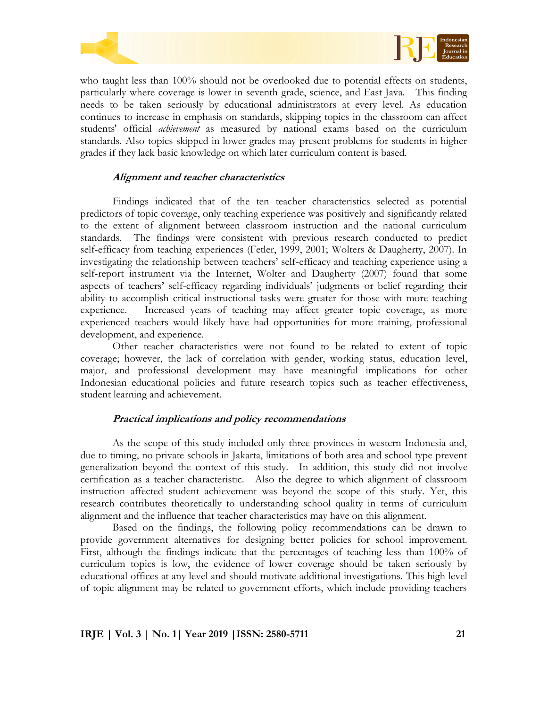



who taught less than 100% should not be overlooked due to potential effects on students, particularly where coverage is lower in seventh grade, science, and East Java. This finding needs to be taken seriously by educational administrators at every level. As education continues to increase in emphasis on standards, skipping topics in the classroom can affect students' official *achievement* as measured by national exams based on the curriculum standards. Also topics skipped in lower grades may present problems for students in higher grades if they lack basic knowledge on which later curriculum content is based.

# **Alignment and teacher characteristics**

Findings indicated that of the ten teacher characteristics selected as potential predictors of topic coverage, only teaching experience was positively and significantly related to the extent of alignment between classroom instruction and the national curriculum standards. The findings were consistent with previous research conducted to predict self-efficacy from teaching experiences (Fetler, 1999, 2001; Wolters & Daugherty, 2007). In investigating the relationship between teachers' self-efficacy and teaching experience using a self-report instrument via the Internet, Wolter and Daugherty (2007) found that some aspects of teachers' self-efficacy regarding individuals' judgments or belief regarding their ability to accomplish critical instructional tasks were greater for those with more teaching experience. Increased years of teaching may affect greater topic coverage, as more experienced teachers would likely have had opportunities for more training, professional development, and experience.

Other teacher characteristics were not found to be related to extent of topic coverage; however, the lack of correlation with gender, working status, education level, major, and professional development may have meaningful implications for other Indonesian educational policies and future research topics such as teacher effectiveness, student learning and achievement.

#### **Practical implications and policy recommendations**

As the scope of this study included only three provinces in western Indonesia and, due to timing, no private schools in Jakarta, limitations of both area and school type prevent generalization beyond the context of this study. In addition, this study did not involve certification as a teacher characteristic. Also the degree to which alignment of classroom instruction affected student achievement was beyond the scope of this study. Yet, this research contributes theoretically to understanding school quality in terms of curriculum alignment and the influence that teacher characteristics may have on this alignment.

Based on the findings, the following policy recommendations can be drawn to provide government alternatives for designing better policies for school improvement. First, although the findings indicate that the percentages of teaching less than 100% of curriculum topics is low, the evidence of lower coverage should be taken seriously by educational offices at any level and should motivate additional investigations. This high level of topic alignment may be related to government efforts, which include providing teachers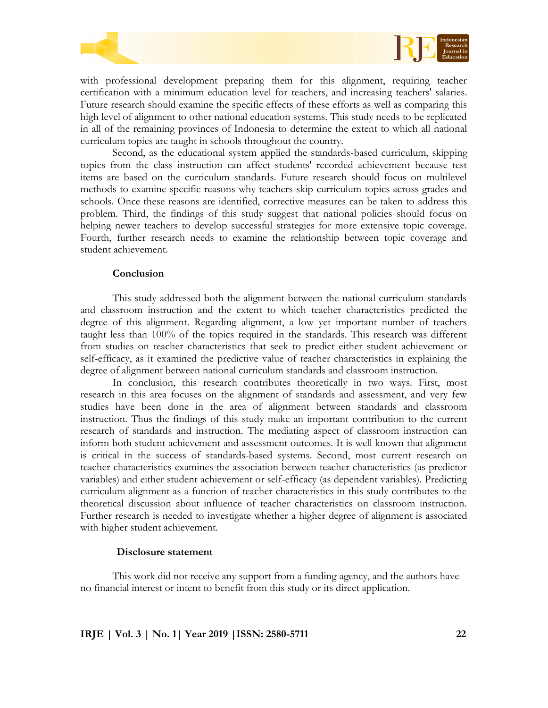



Second, as the educational system applied the standards-based curriculum, skipping topics from the class instruction can affect students' recorded achievement because test items are based on the curriculum standards. Future research should focus on multilevel methods to examine specific reasons why teachers skip curriculum topics across grades and schools. Once these reasons are identified, corrective measures can be taken to address this problem. Third, the findings of this study suggest that national policies should focus on helping newer teachers to develop successful strategies for more extensive topic coverage. Fourth, further research needs to examine the relationship between topic coverage and student achievement.

#### **Conclusion**

This study addressed both the alignment between the national curriculum standards and classroom instruction and the extent to which teacher characteristics predicted the degree of this alignment. Regarding alignment, a low yet important number of teachers taught less than 100% of the topics required in the standards. This research was different from studies on teacher characteristics that seek to predict either student achievement or self-efficacy, as it examined the predictive value of teacher characteristics in explaining the degree of alignment between national curriculum standards and classroom instruction.

In conclusion, this research contributes theoretically in two ways. First, most research in this area focuses on the alignment of standards and assessment, and very few studies have been done in the area of alignment between standards and classroom instruction. Thus the findings of this study make an important contribution to the current research of standards and instruction. The mediating aspect of classroom instruction can inform both student achievement and assessment outcomes. It is well known that alignment is critical in the success of standards-based systems. Second, most current research on teacher characteristics examines the association between teacher characteristics (as predictor variables) and either student achievement or self-efficacy (as dependent variables). Predicting curriculum alignment as a function of teacher characteristics in this study contributes to the theoretical discussion about influence of teacher characteristics on classroom instruction. Further research is needed to investigate whether a higher degree of alignment is associated with higher student achievement.

#### **Disclosure statement**

This work did not receive any support from a funding agency, and the authors have no financial interest or intent to benefit from this study or its direct application.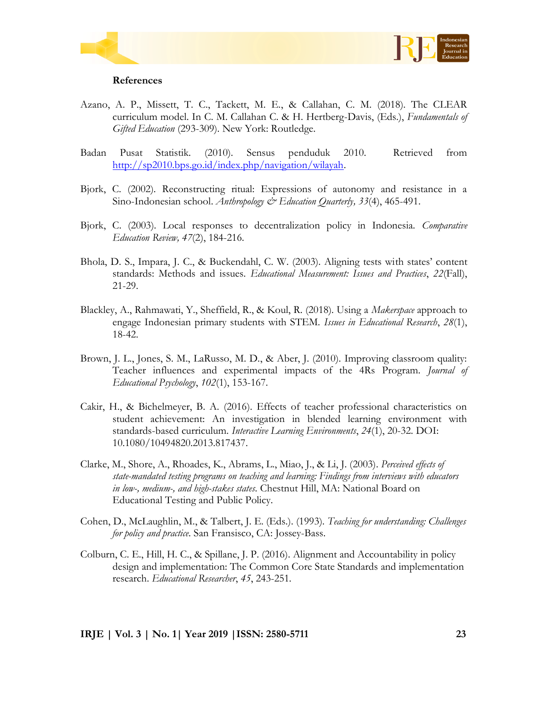



#### **References**

- Azano, A. P., Missett, T. C., Tackett, M. E., & Callahan, C. M. (2018). The CLEAR curriculum model. In C. M. Callahan C. & H. Hertberg-Davis, (Eds.), *Fundamentals of Gifted Education* (293-309). New York: Routledge.
- Badan Pusat Statistik. (2010). Sensus penduduk 2010. Retrieved from [http://sp2010.bps.go.id/index.php/navigation/wilayah.](http://sp2010.bps.go.id/index.php/navigation/wilayah)
- Bjork, C. (2002). Reconstructing ritual: Expressions of autonomy and resistance in a Sino-Indonesian school. *Anthropology & Education Quarterly, 33*(4), 465-491.
- Bjork, C. (2003). Local responses to decentralization policy in Indonesia. *Comparative Education Review, 47*(2), 184-216.
- Bhola, D. S., Impara, J. C., & Buckendahl, C. W. (2003). Aligning tests with states' content standards: Methods and issues. *Educational Measurement: Issues and Practices*, *22*(Fall), 21-29.
- Blackley, A., Rahmawati, Y., Sheffield, R., & Koul, R. (2018). Using a *Makerspace* approach to engage Indonesian primary students with STEM. *Issues in Educational Research*, *28*(1), 18-42.
- Brown, J. L., Jones, S. M., LaRusso, M. D., & Aber, J. (2010). Improving classroom quality: Teacher influences and experimental impacts of the 4Rs Program. *Journal of Educational Psychology*, *102*(1), 153-167.
- Cakir, H., & Bichelmeyer, B. A. (2016). Effects of teacher professional characteristics on student achievement: An investigation in blended learning environment with standards-based curriculum. *Interactive Learning Environments*, *24*(1), 20-32. DOI: 10.1080/10494820.2013.817437.
- Clarke, M., Shore, A., Rhoades, K., Abrams, L., Miao, J., & Li, J. (2003). *Perceived effects of state-mandated testing programs on teaching and learning: Findings from interviews with educators in low-, medium-, and high-stakes states*. Chestnut Hill, MA: National Board on Educational Testing and Public Policy.
- Cohen, D., McLaughlin, M., & Talbert, J. E. (Eds.). (1993). *Teaching for understanding: Challenges for policy and practice*. San Fransisco, CA: Jossey-Bass.
- Colburn, C. E., Hill, H. C., & Spillane, J. P. (2016). Alignment and Accountability in policy design and implementation: The Common Core State Standards and implementation research. *Educational Researcher*, *45*, 243-251*.*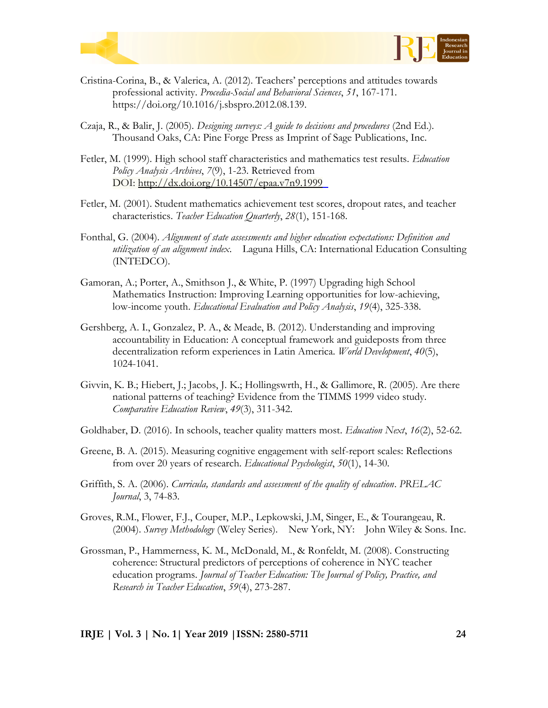



- Cristina-Corina, B., & Valerica, A. (2012). Teachers' perceptions and attitudes towards professional activity. *Procedia-Social and Behavioral Sciences*, *51*, 167-171. https://doi.org/10.1016/j.sbspro.2012.08.139.
- Czaja, R., & Balir, J. (2005). *Designing surveys: A guide to decisions and procedures* (2nd Ed.). Thousand Oaks, CA: Pine Forge Press as Imprint of Sage Publications, Inc.
- Fetler, M. (1999). High school staff characteristics and mathematics test results. *Education Policy Analysis Archives*, *7*(9), 1-23. Retrieved from DOI: <http://dx.doi.org/10.14507/epaa.v7n9.1999>
- Fetler, M. (2001). Student mathematics achievement test scores, dropout rates, and teacher characteristics. *Teacher Education Quarterly*, *28*(1), 151-168.
- Fonthal, G. (2004). *Alignment of state assessments and higher education expectations: Definition and utilization of an alignment index*. Laguna Hills, CA: International Education Consulting (INTEDCO).
- Gamoran, A.; Porter, A., Smithson J., & White, P. (1997) Upgrading high School Mathematics Instruction: Improving Learning opportunities for low-achieving, low-income youth. *Educational Evaluation and Policy Analysis*, *19*(4), 325-338.
- Gershberg, A. I., Gonzalez, P. A., & Meade, B. (2012). Understanding and improving accountability in Education: A conceptual framework and guideposts from three decentralization reform experiences in Latin America. *World Development*, *40*(5), 1024-1041.
- Givvin, K. B.; Hiebert, J.; Jacobs, J. K.; Hollingswrth, H., & Gallimore, R. (2005). Are there national patterns of teaching? Evidence from the TIMMS 1999 video study. *Comparative Education Review*, *49*(3), 311-342.
- Goldhaber, D. (2016). In schools, teacher quality matters most. *Education Next*, *16*(2), 52-62.
- Greene, B. A. (2015). Measuring cognitive engagement with self-report scales: Reflections from over 20 years of research. *Educational Psychologist*, *50*(1), 14-30.
- Griffith, S. A. (2006). *Curricula, standards and assessment of the quality of education*. *PRELAC Journal*, 3, 74-83.
- Groves, R.M., Flower, F.J., Couper, M.P., Lepkowski, J.M, Singer, E., & Tourangeau, R. (2004). *Survey Methodology* (Weley Series). New York, NY: John Wiley & Sons. Inc.
- Grossman, P., Hammerness, K. M., McDonald, M., & Ronfeldt, M. (2008). Constructing coherence: Structural predictors of perceptions of coherence in NYC teacher education programs. *Journal of Teacher Education: The Journal of Policy, Practice, and Research in Teacher Education*, *59*(4), 273-287.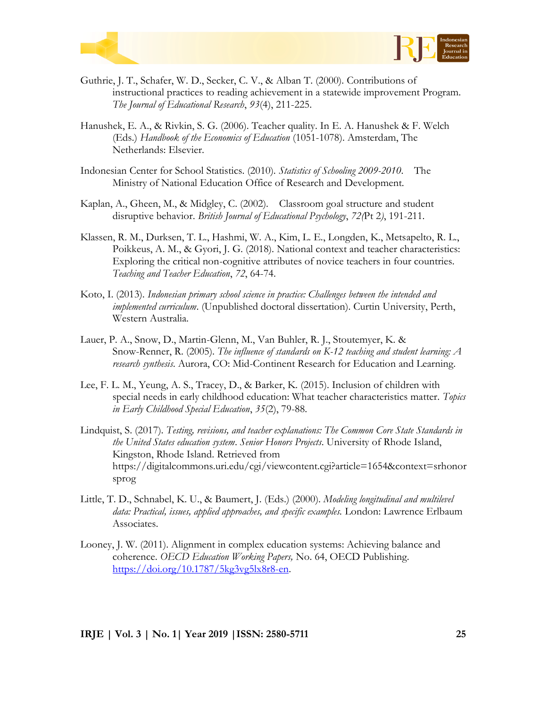



- Guthrie, J. T., Schafer, W. D., Secker, C. V., & Alban T. (2000). Contributions of instructional practices to reading achievement in a statewide improvement Program. *The Journal of Educational Research*, *93*(4), 211-225.
- Hanushek, E. A., & Rivkin, S. G. (2006). Teacher quality. In E. A. Hanushek & F. Welch (Eds.) *Handbook of the Economics of Education* (1051-1078). Amsterdam, The Netherlands: Elsevier.
- Indonesian Center for School Statistics. (2010). *Statistics of Schooling 2009-2010*. The Ministry of National Education Office of Research and Development.
- Kaplan, A., Gheen, M., & Midgley, C. (2002). Classroom goal structure and student disruptive behavior. *British Journal of Educational Psychology*, *72(*Pt 2*)*, 191-211.
- Klassen, R. M., Durksen, T. L., Hashmi, W. A., Kim, L. E., Longden, K., Metsapelto, R. L., Poikkeus, A. M., & Gyori, J. G. (2018). National context and teacher characteristics: Exploring the critical non-cognitive attributes of novice teachers in four countries. *Teaching and Teacher Education*, *72*, 64-74.
- Koto, I. (2013). *Indonesian primary school science in practice: Challenges between the intended and implemented curriculum*. (Unpublished doctoral dissertation). Curtin University, Perth, Western Australia.
- Lauer, P. A., Snow, D., Martin-Glenn, M., Van Buhler, R. J., Stoutemyer, K. & Snow-Renner, R. (2005). *The influence of standards on K-12 teaching and student learning: A research synthesis*. Aurora, CO: Mid-Continent Research for Education and Learning.
- Lee, F. L. M., Yeung, A. S., Tracey, D., & Barker, K. (2015). Inclusion of children with special needs in early childhood education: What teacher characteristics matter. *Topics in Early Childhood Special Education*, *35*(2), 79-88.
- Lindquist, S. (2017). *Testing, revisions, and teacher explanations: The Common Core State Standards in the United States education system*. *Senior Honors Projects*. University of Rhode Island, Kingston, Rhode Island. Retrieved from https://digitalcommons.uri.edu/cgi/viewcontent.cgi?article=1654&context=srhonor sprog
- Little, T. D., Schnabel, K. U., & Baumert, J. (Eds.) (2000). *Modeling longitudinal and multilevel data: Practical, issues, applied approaches, and specific examples.* London: Lawrence Erlbaum Associates.
- Looney, J. W. (2011). Alignment in complex education systems: Achieving balance and coherence. *OECD Education Working Papers,* No. 64, OECD Publishing. [https://doi.org/10.1787/5kg3vg5lx8r8-en.](https://doi.org/10.1787/5kg3vg5lx8r8-en)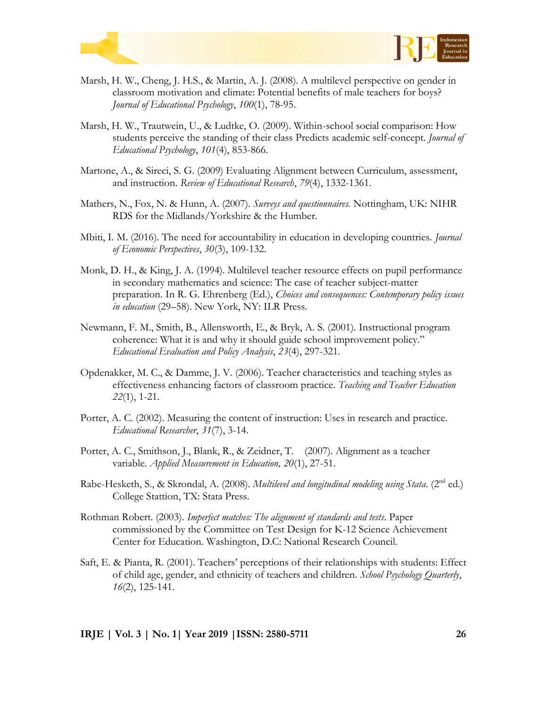



- Marsh, H. W., Cheng, J. H.S., & Martin, A. J. (2008). A multilevel perspective on gender in classroom motivation and climate: Potential benefits of male teachers for boys? *Journal of Educational Psychology*, *100*(1), 78-95.
- Marsh, H. W., Trautwein, U., & Ludtke, O. (2009). Within-school social comparison: How students perceive the standing of their class Predicts academic self-concept. *Journal of Educational Psychology*, *101*(4), 853-866.
- Martone, A., & Sireci, S. G. (2009) Evaluating Alignment between Curriculum, assessment, and instruction. *Review of Educational Research*, *79*(4), 1332-1361.
- Mathers, N., Fox, N. & Hunn, A. (2007). *Surveys and questionnaires.* Nottingham, UK: NIHR RDS for the Midlands/Yorkshire & the Humber.
- Mbiti, I. M. (2016). The need for accountability in education in developing countries. *Journal of Economic Perspectives*, *30*(3), 109-132.
- Monk, D. H., & King, J. A. (1994). Multilevel teacher resource effects on pupil performance in secondary mathematics and science: The case of teacher subject-matter preparation. In R. G. Ehrenberg (Ed.), *Choices and consequences: Contemporary policy issues in education* (29–58). New York, NY: ILR Press.
- Newmann, F. M., Smith, B., Allensworth, E., & Bryk, A. S. (2001). Instructional program coherence: What it is and why it should guide school improvement policy." *Educational Evaluation and Policy Analysis*, *23*(4), 297-321.
- Opdenakker, M. C., & Damme, J. V. (2006). Teacher characteristics and teaching styles as effectiveness enhancing factors of classroom practice. *Teaching and Teacher Education 22*(1), 1-21.
- Porter, A. C. (2002). Measuring the content of instruction: Uses in research and practice. *Educational Researcher*, *31*(7), 3-14.
- Porter, A. C., Smithson, J., Blank, R., & Zeidner, T. (2007). Alignment as a teacher variable. *Applied Measurement in Education, 20*(1), 27-51.
- Rabe-Hesketh, S., & Skrondal, A. (2008). *Multilevel and longitudinal modeling using Stata*. (2<sup>nd</sup> ed.) College Stattion, TX: Stata Press.
- Rothman Robert. (2003). *Imperfect matches: The alignment of standards and tests*. Paper commissioned by the Committee on Test Design for K-12 Science Achievement Center for Education. Washington, D.C: National Research Council.
- Saft, E. & Pianta, R. (2001). Teachers' perceptions of their relationships with students: Effect of child age, gender, and ethnicity of teachers and children. *School Psychology Quarterly*, *16*(2), 125-141.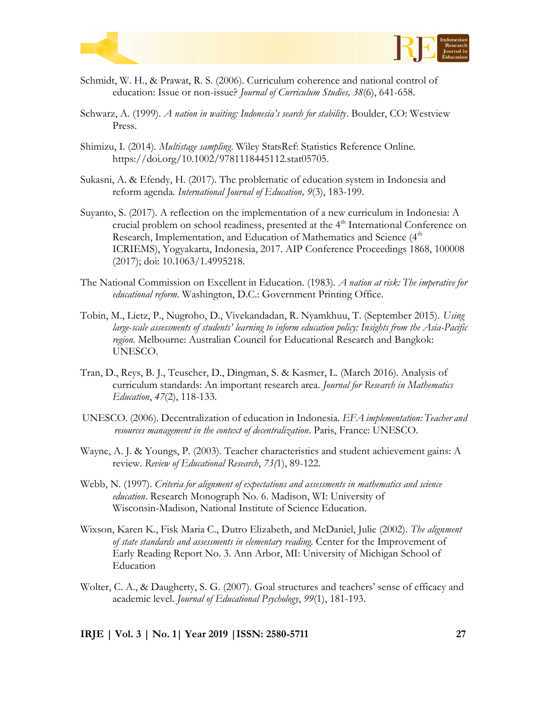



- Schmidt, W. H., & Prawat, R. S. (2006). Curriculum coherence and national control of education: Issue or non-issue? *Journal of Curriculum Studies, 38*(6), 641-658.
- Schwarz, A. (1999). *A nation in waiting: Indonesia's search for stability*. Boulder, CO: Westview Press.
- Shimizu, I. (2014). *Multistage sampling*. Wiley StatsRef: Statistics Reference Online. https://doi.org/10.1002/9781118445112.stat05705.
- Sukasni, A. & Efendy, H. (2017). The problematic of education system in Indonesia and reform agenda*. International Journal of Education, 9*(3), 183-199.
- Suyanto, S. (2017). A reflection on the implementation of a new curriculum in Indonesia: A crucial problem on school readiness, presented at the 4<sup>th</sup> International Conference on Research, Implementation, and Education of Mathematics and Science (4<sup>th</sup>) ICRIEMS), Yogyakarta, Indonesia, 2017. AIP Conference Proceedings 1868, 100008 (2017); doi: 10.1063/1.4995218.
- The National Commission on Excellent in Education. (1983). *A nation at risk: The imperative for educational reform.* Washington, D.C.: Government Printing Office.
- Tobin, M., Lietz, P., Nugroho, D., Vivekandadan, R. Nyamkhuu, T. (September 2015). *Using large-scale assessments of students' learning to inform education policy: Insights from the Asia-Pacific region.* Melbourne: Australian Council for Educational Research and Bangkok: UNESCO.
- Tran, D., Reys, B. J., Teuscher, D., Dingman, S. & Kasmer, L. (March 2016). Analysis of curriculum standards: An important research area. *Journal for Research in Mathematics Education*, *47*(2), 118-133.
- UNESCO. (2006). Decentralization of education in Indonesia. *EFA implementation: Teacher and resources management in the context of decentralization*. Paris, France: UNESCO.
- Wayne, A. J. & Youngs, P. (2003). Teacher characteristics and student achievement gains: A review. *Review of Educational Research*, *73(*1), 89-122.
- Webb, N. (1997). *Criteria for alignment of expectations and assessments in mathematics and science education*. Research Monograph No. 6. Madison, WI: University of Wisconsin-Madison, National Institute of Science Education.
- Wixson, Karen K., Fisk Maria C., Dutro Elizabeth, and McDaniel, Julie (2002). *The alignment of state standards and assessments in elementary reading*. Center for the Improvement of Early Reading Report No. 3. Ann Arbor, MI: University of Michigan School of Education
- Wolter, C. A., & Daugherty, S. G. (2007). Goal structures and teachers' sense of efficacy and academic level. *Journal of Educational Psychology*, *99*(1), 181-193.

**IRJE | Vol. 3 | No. 1| Year 2019 |ISSN: 2580-5711 27**